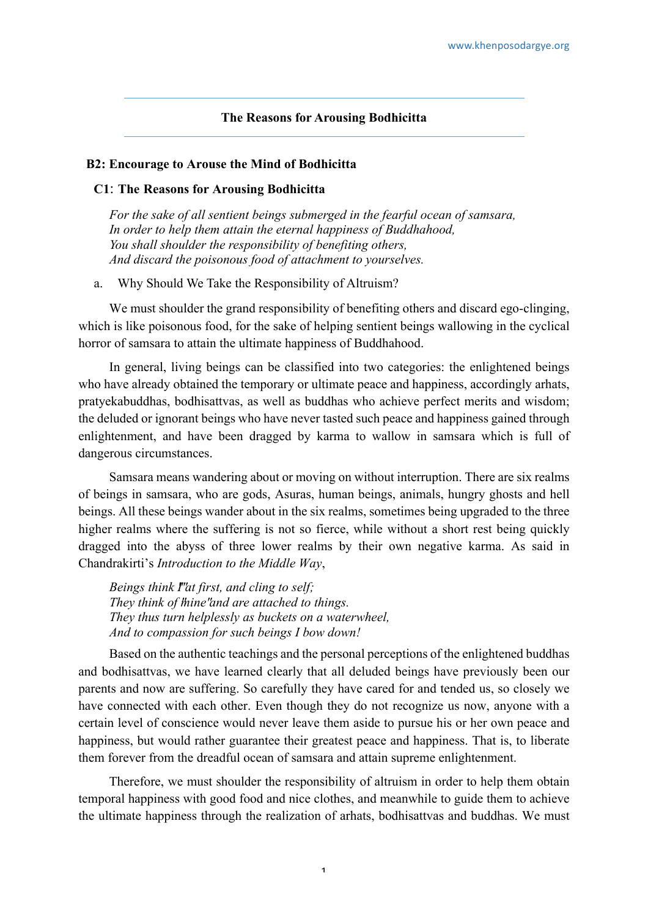### **The Reasons for Arousing Bodhicitta**

### **B2: Encourage to Arouse the Mind of Bodhicitta**

### **C1**: **The Reasons for Arousing Bodhicitta**

*For the sake of all sentient beings submerged in the fearful ocean of samsara, In order to help them attain the eternal happiness of Buddhahood, You shall shoulder the responsibility of benefiting others, And discard the poisonous food of attachment to yourselves.*

a. Why Should We Take the Responsibility of Altruism?

We must shoulder the grand responsibility of benefiting others and discard ego-clinging, which is like poisonous food, for the sake of helping sentient beings wallowing in the cyclical horror of samsara to attain the ultimate happiness of Buddhahood.

In general, living beings can be classified into two categories: the enlightened beings who have already obtained the temporary or ultimate peace and happiness, accordingly arhats, pratyekabuddhas, bodhisattvas, as well as buddhas who achieve perfect merits and wisdom; the deluded or ignorant beings who have never tasted such peace and happiness gained through enlightenment, and have been dragged by karma to wallow in samsara which is full of dangerous circumstances.

Samsara means wandering about or moving on without interruption. There are six realms of beings in samsara, who are gods, Asuras, human beings, animals, hungry ghosts and hell beings. All these beings wander about in the six realms, sometimes being upgraded to the three higher realms where the suffering is not so fierce, while without a short rest being quickly dragged into the abyss of three lower realms by their own negative karma. As said in Chandrakirti's *Introduction to the Middle Way*,

*Beings think I''at first, and cling to self; They think of thine and are attached to things. They thus turn helplessly as buckets on a waterwheel, And to compassion for such beings I bow down!*

Based on the authentic teachings and the personal perceptions of the enlightened buddhas and bodhisattvas, we have learned clearly that all deluded beings have previously been our parents and now are suffering. So carefully they have cared for and tended us, so closely we have connected with each other. Even though they do not recognize us now, anyone with a certain level of conscience would never leave them aside to pursue his or her own peace and happiness, but would rather guarantee their greatest peace and happiness. That is, to liberate them forever from the dreadful ocean of samsara and attain supreme enlightenment.

Therefore, we must shoulder the responsibility of altruism in order to help them obtain temporal happiness with good food and nice clothes, and meanwhile to guide them to achieve the ultimate happiness through the realization of arhats, bodhisattvas and buddhas. We must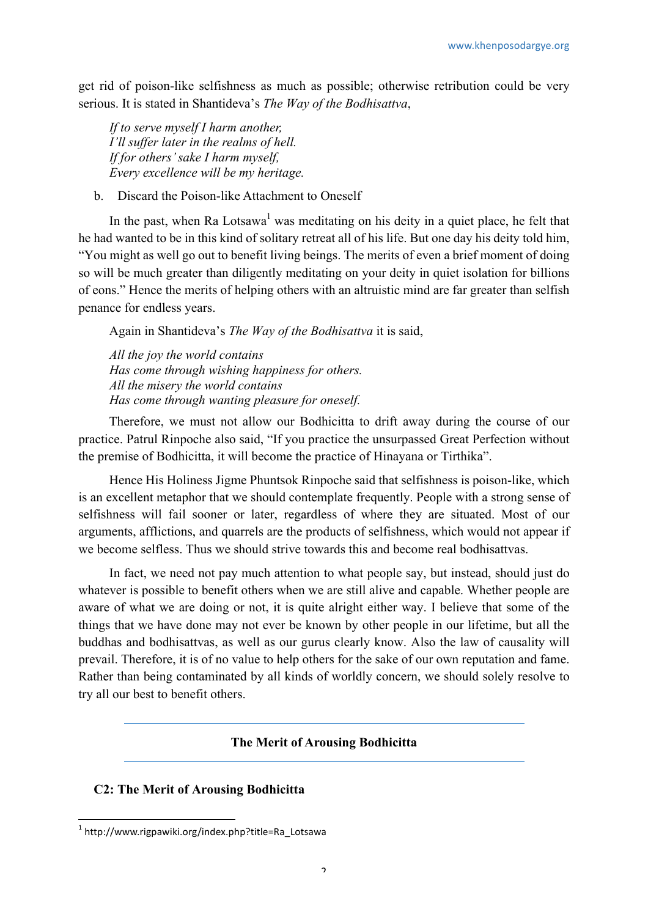get rid of poison-like selfishness as much as possible; otherwise retribution could be very serious. It is stated in Shantideva's *The Way of the Bodhisattva*,

*If to serve myself I harm another, I'll suffer later in the realms of hell. If for others' sake I harm myself, Every excellence will be my heritage.*

b. Discard the Poison-like Attachment to Oneself

In the past, when Ra Lotsawa<sup>1</sup> was meditating on his deity in a quiet place, he felt that he had wanted to be in this kind of solitary retreat all of his life. But one day his deity told him, "You might as well go out to benefit living beings. The merits of even a brief moment of doing so will be much greater than diligently meditating on your deity in quiet isolation for billions of eons." Hence the merits of helping others with an altruistic mind are far greater than selfish penance for endless years.

Again in Shantideva's *The Way of the Bodhisattva* it is said,

*All the joy the world contains Has come through wishing happiness for others. All the misery the world contains Has come through wanting pleasure for oneself.*

Therefore, we must not allow our Bodhicitta to drift away during the course of our practice. Patrul Rinpoche also said, "If you practice the unsurpassed Great Perfection without the premise of Bodhicitta, it will become the practice of Hinayana or Tirthika".

Hence His Holiness Jigme Phuntsok Rinpoche said that selfishness is poison-like, which is an excellent metaphor that we should contemplate frequently. People with a strong sense of selfishness will fail sooner or later, regardless of where they are situated. Most of our arguments, afflictions, and quarrels are the products of selfishness, which would not appear if we become selfless. Thus we should strive towards this and become real bodhisattvas.

In fact, we need not pay much attention to what people say, but instead, should just do whatever is possible to benefit others when we are still alive and capable. Whether people are aware of what we are doing or not, it is quite alright either way. I believe that some of the things that we have done may not ever be known by other people in our lifetime, but all the buddhas and bodhisattvas, as well as our gurus clearly know. Also the law of causality will prevail. Therefore, it is of no value to help others for the sake of our own reputation and fame. Rather than being contaminated by all kinds of worldly concern, we should solely resolve to try all our best to benefit others.

# **The Merit of Arousing Bodhicitta**

# **C2: The Merit of Arousing Bodhicitta**

 $1$  http://www.rigpawiki.org/index.php?title=Ra\_Lotsawa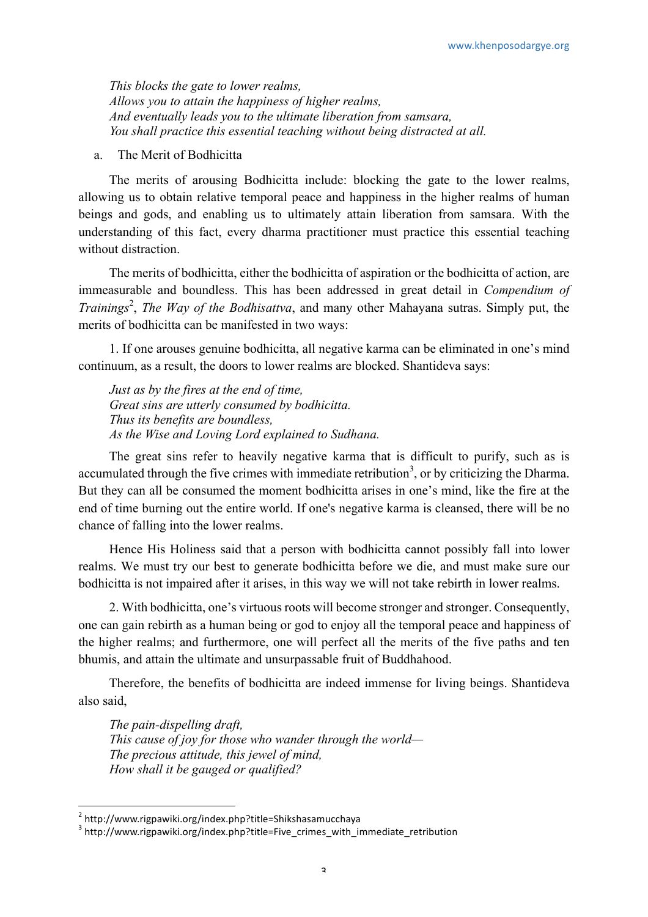*This blocks the gate to lower realms, Allows you to attain the happiness of higher realms, And eventually leads you to the ultimate liberation from samsara, You shall practice this essential teaching without being distracted at all.*

a. The Merit of Bodhicitta

The merits of arousing Bodhicitta include: blocking the gate to the lower realms, allowing us to obtain relative temporal peace and happiness in the higher realms of human beings and gods, and enabling us to ultimately attain liberation from samsara. With the understanding of this fact, every dharma practitioner must practice this essential teaching without distraction.

The merits of bodhicitta, either the bodhicitta of aspiration or the bodhicitta of action, are immeasurable and boundless. This has been addressed in great detail in *Compendium of Trainings<sup>2</sup>*, *The Way of the Bodhisattva*, and many other Mahayana sutras. Simply put, the merits of bodhicitta can be manifested in two ways:

1. If one arouses genuine bodhicitta, all negative karma can be eliminated in one's mind continuum, as a result, the doors to lower realms are blocked. Shantideva says:

*Just as by the fires at the end of time, Great sins are utterly consumed by bodhicitta. Thus its benefits are boundless, As the Wise and Loving Lord explained to Sudhana.*

The great sins refer to heavily negative karma that is difficult to purify, such as is accumulated through the five crimes with immediate retribution<sup>3</sup>, or by criticizing the Dharma. But they can all be consumed the moment bodhicitta arises in one's mind, like the fire at the end of time burning out the entire world. If one's negative karma is cleansed, there will be no chance of falling into the lower realms.

Hence His Holiness said that a person with bodhicitta cannot possibly fall into lower realms. We must try our best to generate bodhicitta before we die, and must make sure our bodhicitta is not impaired after it arises, in this way we will not take rebirth in lower realms.

2. With bodhicitta, one's virtuous roots will become stronger and stronger. Consequently, one can gain rebirth as a human being or god to enjoy all the temporal peace and happiness of the higher realms; and furthermore, one will perfect all the merits of the five paths and ten bhumis, and attain the ultimate and unsurpassable fruit of Buddhahood.

Therefore, the benefits of bodhicitta are indeed immense for living beings. Shantideva also said,

*The pain-dispelling draft, This cause of joy for those who wander through the world— The precious attitude, this jewel of mind, How shall it be gauged or qualified?*

 

 $^2$  http://www.rigpawiki.org/index.php?title=Shikshasamucchaya

<sup>3</sup> http://www.rigpawiki.org/index.php?title=Five\_crimes\_with\_immediate\_retribution